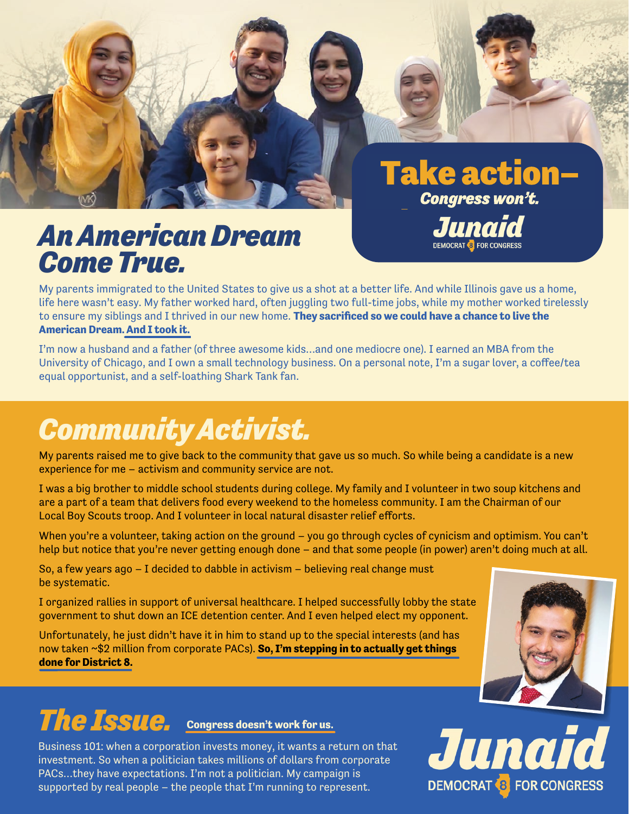

My parents immigrated to the United States to give us a shot at a better life. And while Illinois gave us a home, life here wasn't easy. My father worked hard, often juggling two full-time jobs, while my mother worked tirelessly to ensure my siblings and I thrived in our new home. **They sacrificed so we could have a chance to live the American Dream. And I took it.**

I'm now a husband and a father (of three awesome kids…and one mediocre one). I earned an MBA from the University of Chicago, and I own a small technology business. On a personal note, I'm a sugar lover, a coffee/tea equal opportunist, and a self-loathing Shark Tank fan.

# *Community Activist.*

My parents raised me to give back to the community that gave us so much. So while being a candidate is a new experience for me – activism and community service are not.

I was a big brother to middle school students during college. My family and I volunteer in two soup kitchens and are a part of a team that delivers food every weekend to the homeless community. I am the Chairman of our Local Boy Scouts troop. And I volunteer in local natural disaster relief efforts.

When you're a volunteer, taking action on the ground – you go through cycles of cynicism and optimism. You can't help but notice that you're never getting enough done – and that some people (in power) aren't doing much at all.

So, a few years ago – I decided to dabble in activism – believing real change must be systematic.

I organized rallies in support of universal healthcare. I helped successfully lobby the state government to shut down an ICE detention center. And I even helped elect my opponent.

Unfortunately, he just didn't have it in him to stand up to the special interests (and has now taken ~\$2 million from corporate PACs). **So, I'm stepping in to actually get things done for District 8.**



### *The Issue.* **Congress doesn't work for us.**

Business 101: when a corporation invests money, it wants a return on that investment. So when a politician takes millions of dollars from corporate PACs…they have expectations. I'm not a politician. My campaign is supported by real people – the people that I'm running to represent.

Junaid **DEMOCRAT & FOR CONGRESS** 

**Take action-**

Congress won't.

**DEMOCRAT 8 FOR CONGRESS** 

Juna.